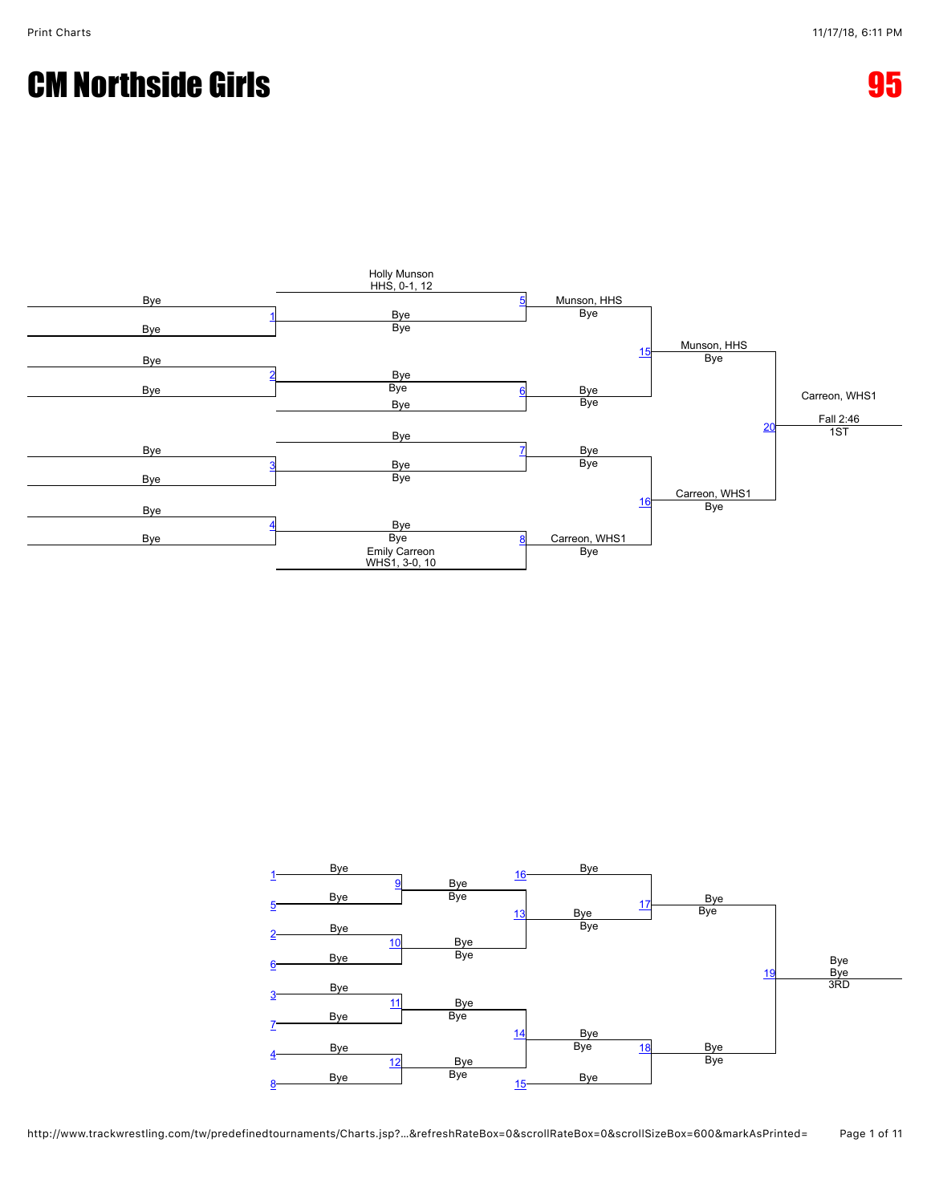## **CM Northside Girls 65 and 200 million control of the CM** Northside Girls 65





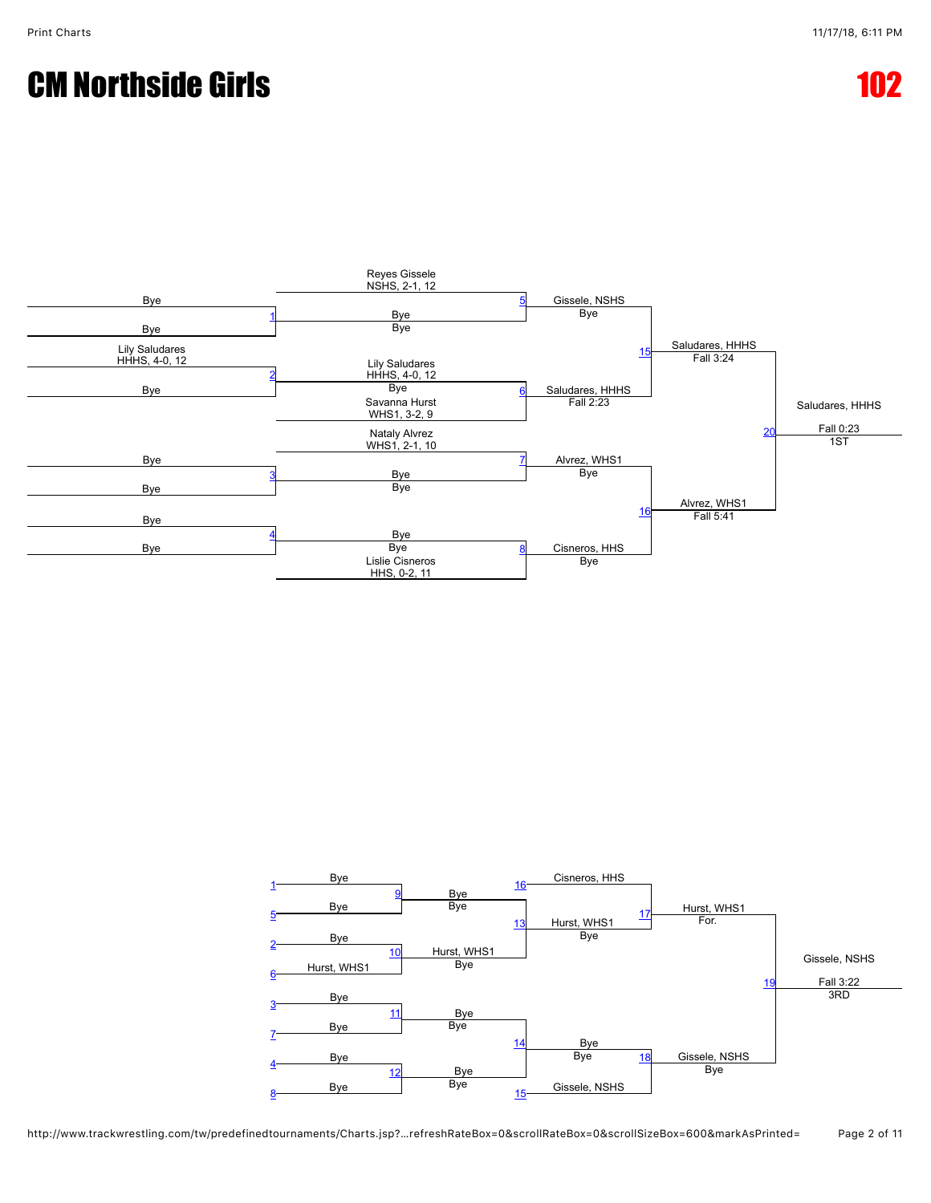## CM Northside Girls 102



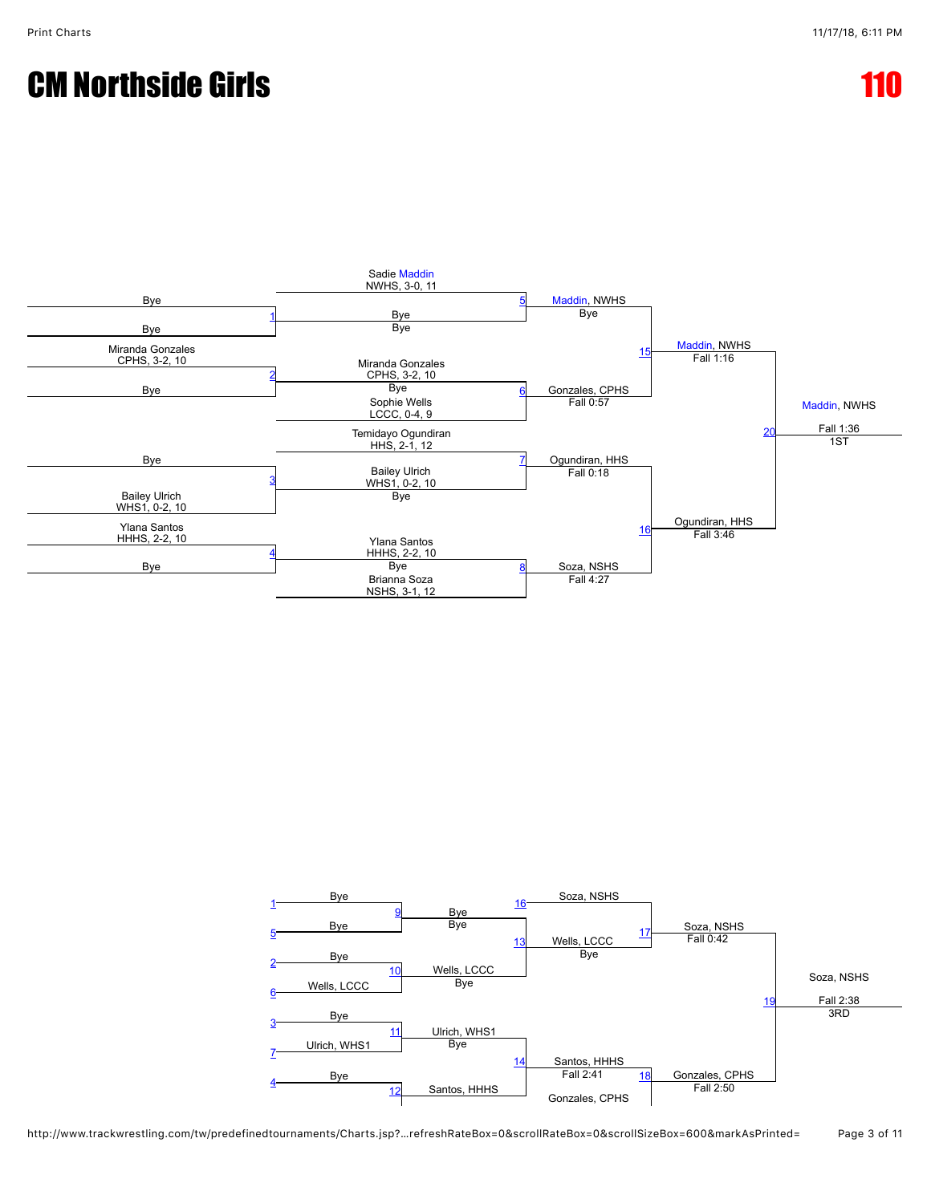## **CM Northside Girls**



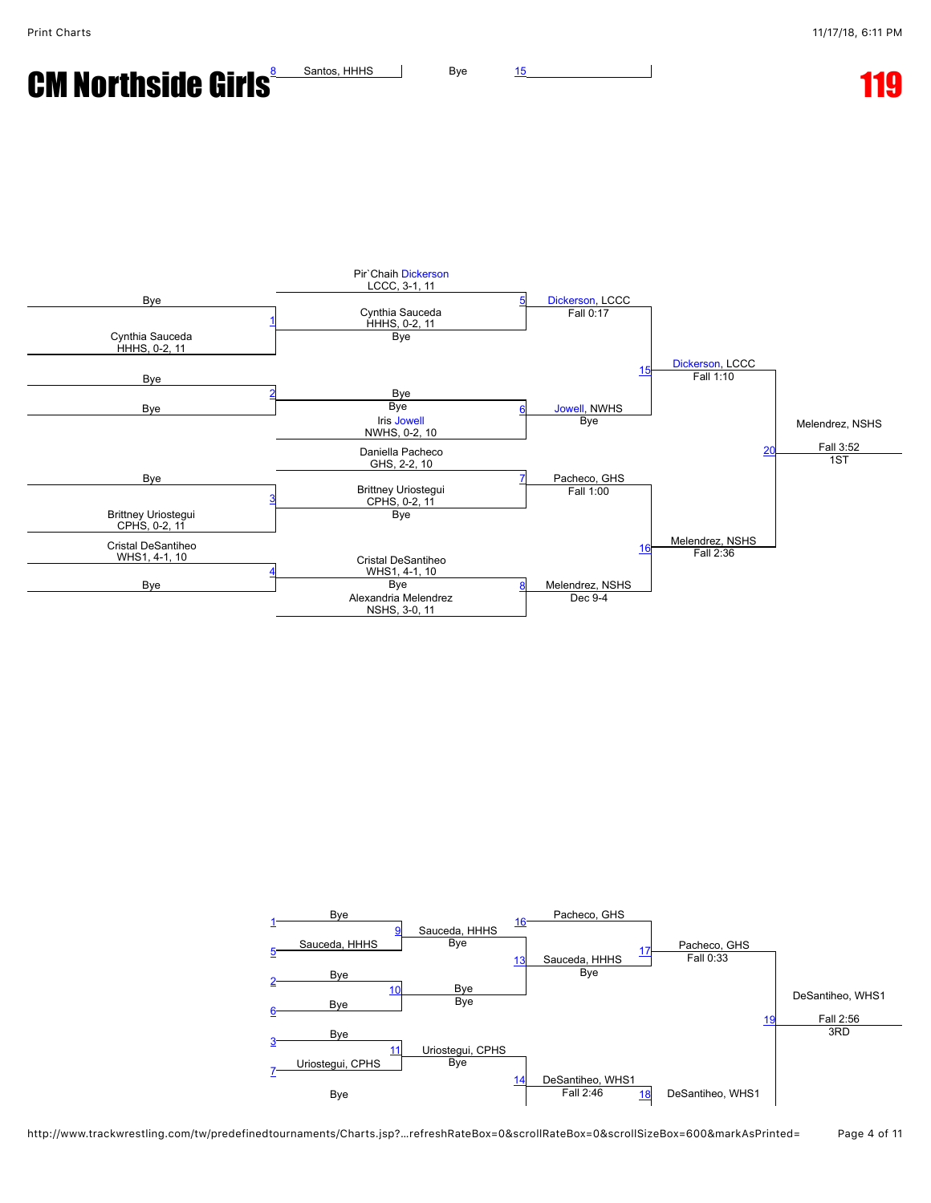**CM Northside Girls**  $\frac{8}{15}$  $\frac{8}{15}$  $\frac{8}{15}$  $\frac{8}{15}$  $\frac{8}{15}$  Santos, HHHS  $\frac{1}{25}$  Bye 15



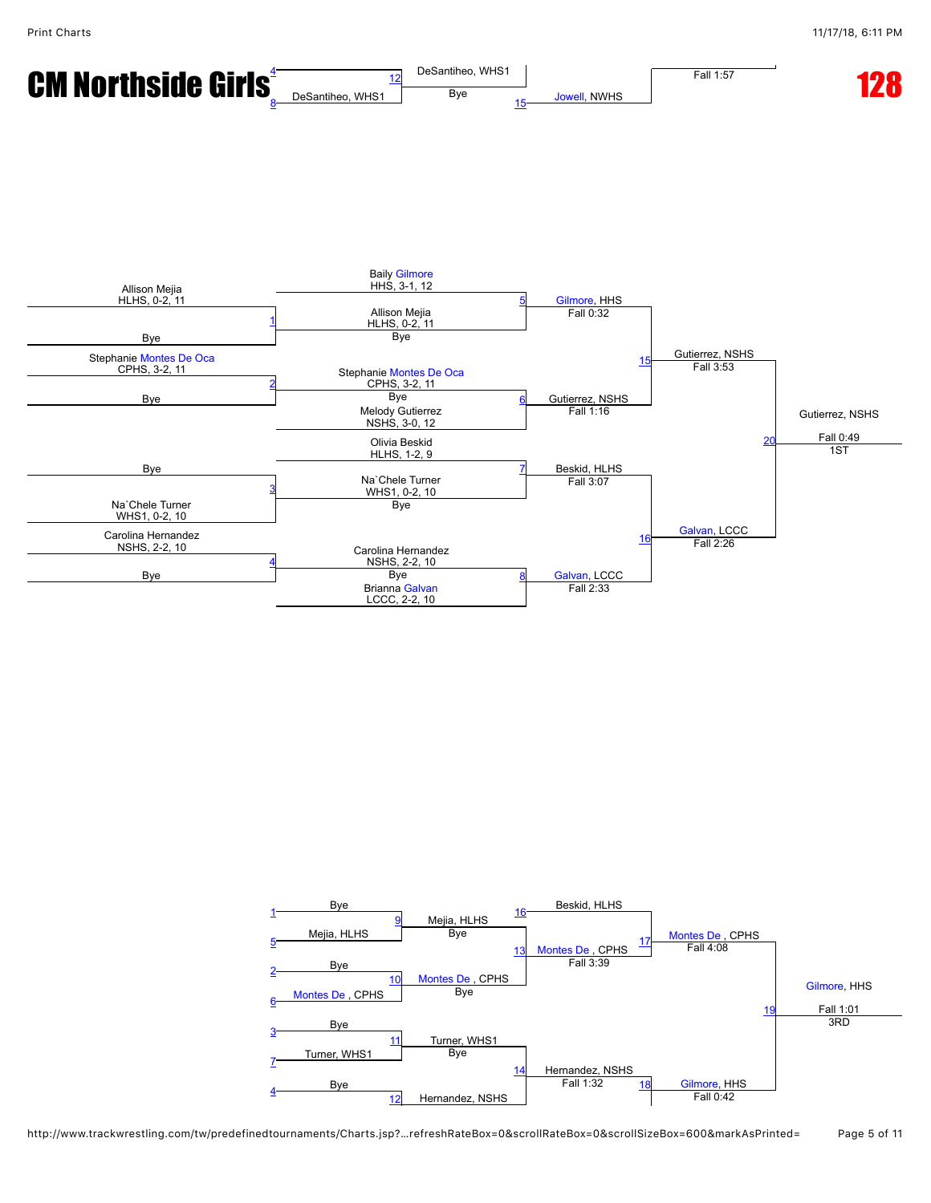

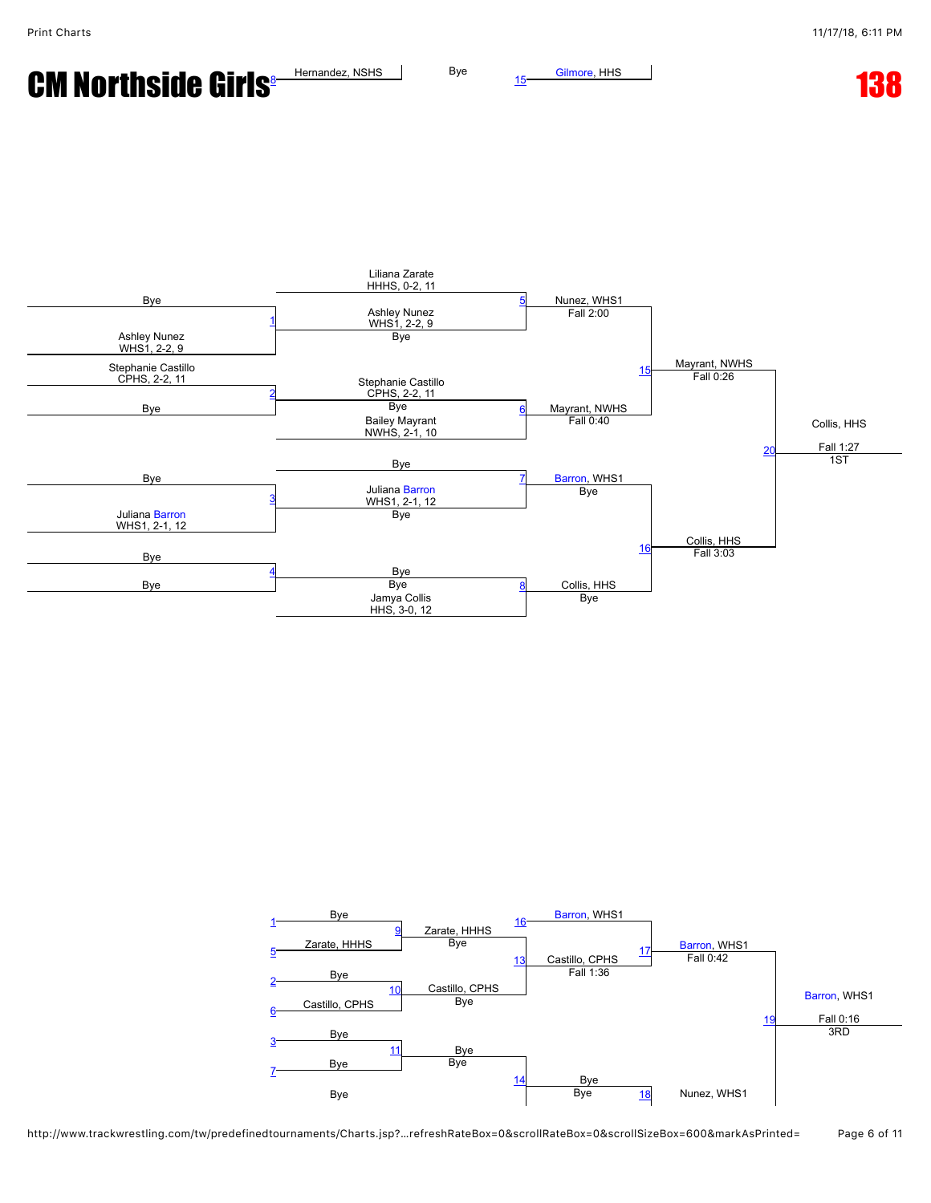**CM Northside Girls Hernandez, NSHS** Bye  $\frac{15}{15}$  $\frac{15}{15}$  $\frac{15}{15}$  [Gilmore](javascript:viewProfile(662419132)), HHS **13[8](javascript:openBoutSheet(8,)** 



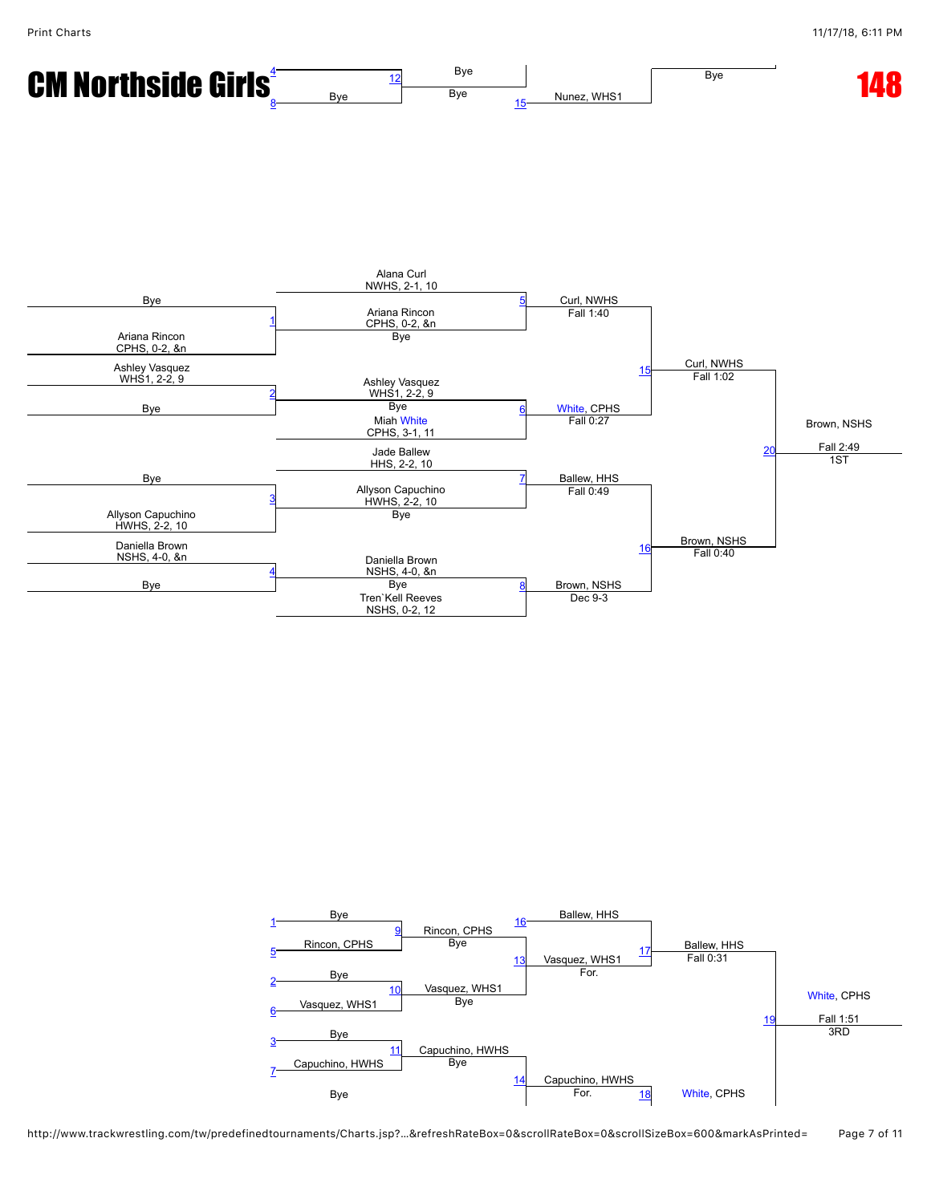

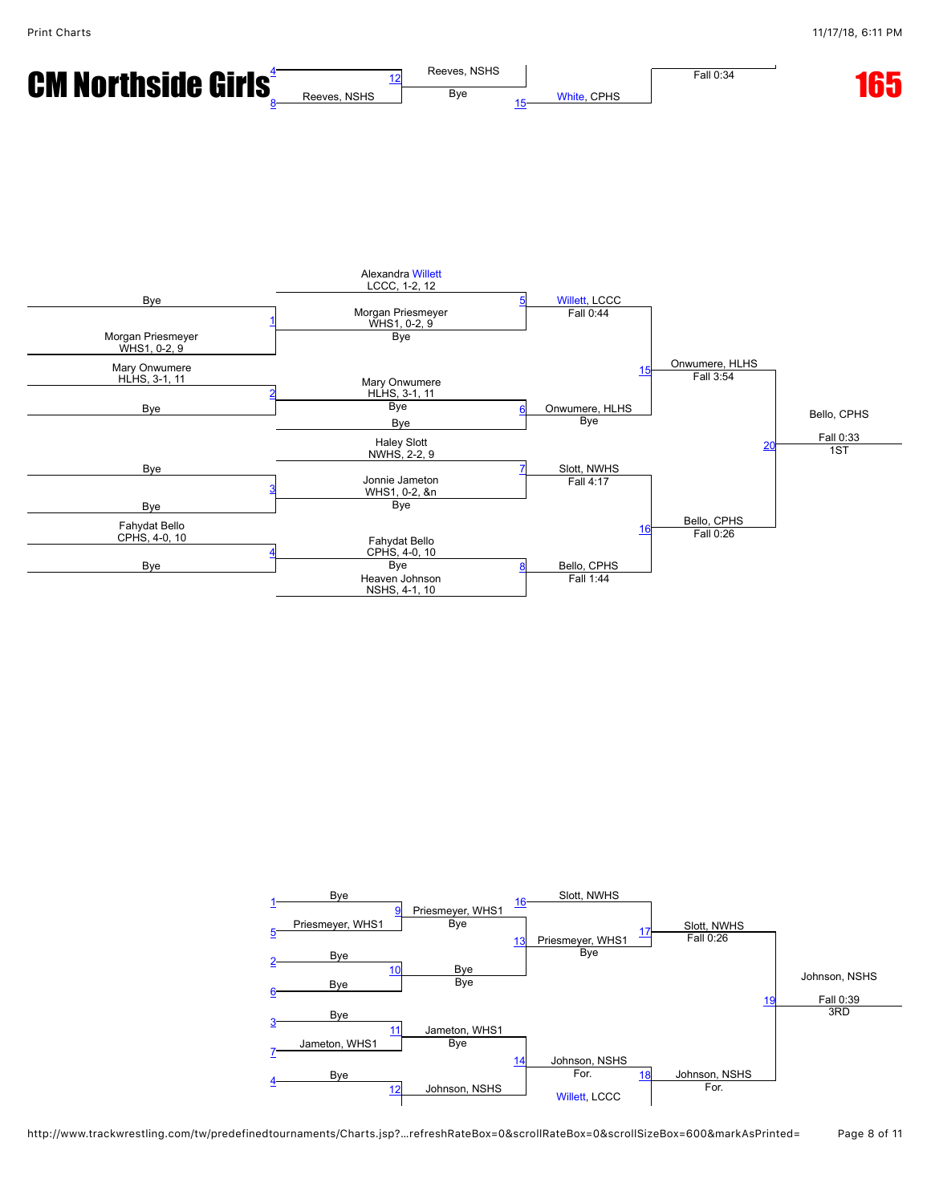



## http://www.trackwrestling.com/tw/predefinedtournaments/Charts.jsp?…refreshRateBox=0&scrollRateBox=0&scrollSizeBox=600&markAsPrinted= Page 8 of 11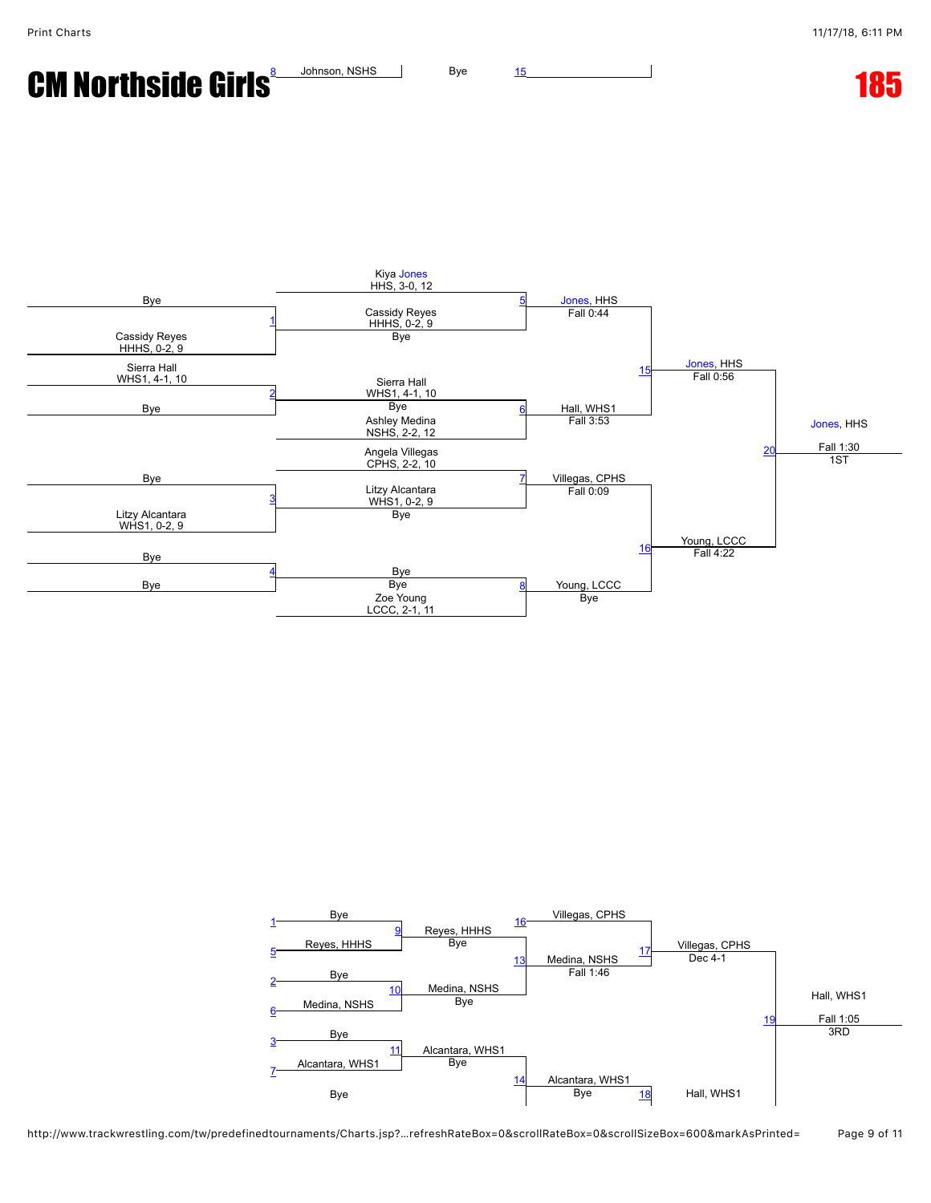CM Northside Girls<sup>&</sup> Johnson, NSHS Bye [15](javascript:openBoutSheet(15,)